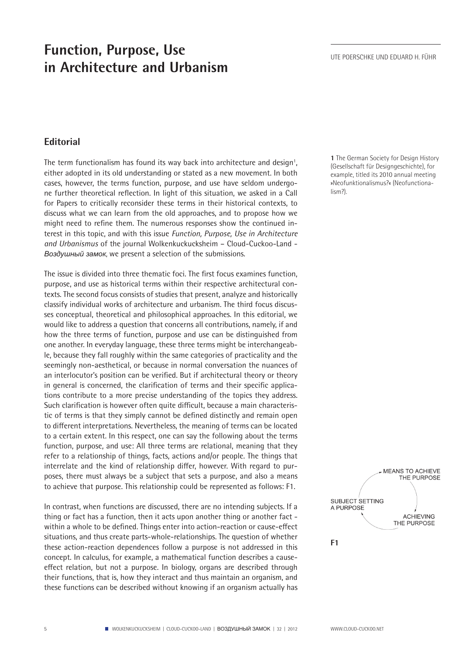## **Function, Purpose, Use in Architecture and Urbanism**

## **Editorial**

The term functionalism has found its way back into architecture and design<sup>1</sup>, either adopted in its old understanding or stated as a new movement. In both cases, however, the terms function, purpose, and use have seldom undergone further theoretical reflection. In light of this situation, we asked in a Call for Papers to critically reconsider these terms in their historical contexts, to discuss what we can learn from the old approaches, and to propose how we might need to refine them. The numerous responses show the continued interest in this topic, and with this issue *Function, Purpose, Use in Architecture and Urbanismus* of the journal Wolkenkuckucksheim – Cloud-Cuckoo-Land - *Воздушный замок*, we present a selection of the submissions.

The issue is divided into three thematic foci. The first focus examines function, purpose, and use as historical terms within their respective architectural contexts. The second focus consists of studies that present, analyze and historically classify individual works of architecture and urbanism. The third focus discusses conceptual, theoretical and philosophical approaches. In this editorial, we would like to address a question that concerns all contributions, namely, if and how the three terms of function, purpose and use can be distinguished from one another. In everyday language, these three terms might be interchangeable, because they fall roughly within the same categories of practicality and the seemingly non-aesthetical, or because in normal conversation the nuances of an interlocutor's position can be verified. But if architectural theory or theory in general is concerned, the clarification of terms and their specific applications contribute to a more precise understanding of the topics they address. Such clarification is however often quite difficult, because a main characteristic of terms is that they simply cannot be defined distinctly and remain open to different interpretations. Nevertheless, the meaning of terms can be located to a certain extent. In this respect, one can say the following about the terms function, purpose, and use: All three terms are relational, meaning that they refer to a relationship of things, facts, actions and/or people. The things that interrelate and the kind of relationship differ, however. With regard to purposes, there must always be a subject that sets a purpose, and also a means to achieve that purpose. This relationship could be represented as follows: F1.

In contrast, when functions are discussed, there are no intending subjects. If a thing or fact has a function, then it acts upon another thing or another fact within a whole to be defined. Things enter into action-reaction or cause-effect situations, and thus create parts-whole-relationships. The question of whether these action-reaction dependences follow a purpose is not addressed in this concept. In calculus, for example, a mathematical function describes a causeeffect relation, but not a purpose. In biology, organs are described through their functions, that is, how they interact and thus maintain an organism, and these functions can be described without knowing if an organism actually has

**1** The German Society for Design History (Gesellschaft für Designgeschichte), for example, titled its 2010 annual meeting »Neofunktionalismus?« (Neofunctionalism?).



**F1**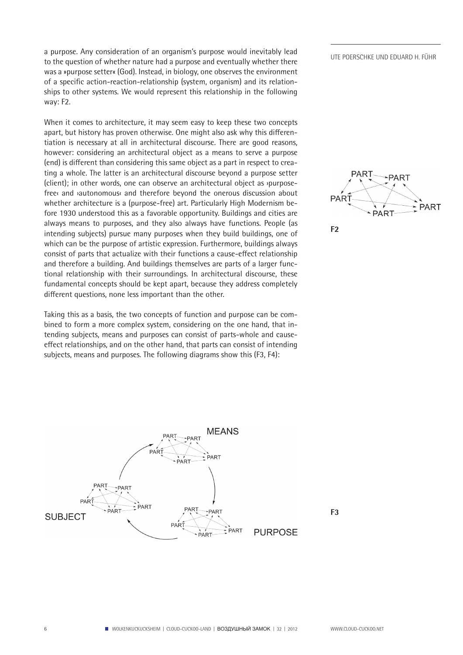a purpose. Any consideration of an organism's purpose would inevitably lead<br>UTE POERSCHKE UND EDUARD H. FÜHR to the question of whether nature had a purpose and eventually whether there was a »purpose setter« (God). Instead, in biology, one observes the environment of a specific action-reaction-relationship (system, organism) and its relationships to other systems. We would represent this relationship in the following way: F2.

When it comes to architecture, it may seem easy to keep these two concepts apart, but history has proven otherwise. One might also ask why this differentiation is necessary at all in architectural discourse. There are good reasons, however: considering an architectural object as a means to serve a purpose (end) is different than considering this same object as a part in respect to creating a whole. The latter is an architectural discourse beyond a purpose setter (client); in other words, one can observe an architectural object as ›purposefree‹ and ›autonomous‹ and therefore beyond the onerous discussion about whether architecture is a (purpose-free) art. Particularly High Modernism before 1930 understood this as a favorable opportunity. Buildings and cities are always means to purposes, and they also always have functions. People (as intending subjects) pursue many purposes when they build buildings, one of which can be the purpose of artistic expression. Furthermore, buildings always consist of parts that actualize with their functions a cause-effect relationship and therefore a building. And buildings themselves are parts of a larger functional relationship with their surroundings. In architectural discourse, these fundamental concepts should be kept apart, because they address completely different questions, none less important than the other.

Taking this as a basis, the two concepts of function and purpose can be combined to form a more complex system, considering on the one hand, that intending subjects, means and purposes can consist of parts-whole and causeeffect relationships, and on the other hand, that parts can consist of intending subjects, means and purposes. The following diagrams show this (F3, F4):





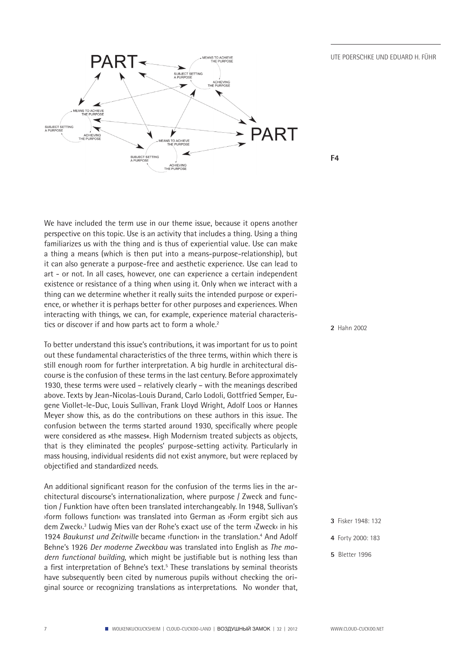

We have included the term use in our theme issue, because it opens another perspective on this topic. Use is an activity that includes a thing. Using a thing familiarizes us with the thing and is thus of experiential value. Use can make a thing a means (which is then put into a means-purpose-relationship), but it can also generate a purpose-free and aesthetic experience. Use can lead to art - or not. In all cases, however, one can experience a certain independent existence or resistance of a thing when using it. Only when we interact with a thing can we determine whether it really suits the intended purpose or experience, or whether it is perhaps better for other purposes and experiences. When interacting with things, we can, for example, experience material characteristics or discover if and how parts act to form a whole.<sup>2</sup>

To better understand this issue's contributions, it was important for us to point out these fundamental characteristics of the three terms, within which there is still enough room for further interpretation. A big hurdle in architectural discourse is the confusion of these terms in the last century. Before approximately 1930, these terms were used – relatively clearly – with the meanings described above. Texts by Jean-Nicolas-Louis Durand, Carlo Lodoli, Gottfried Semper, Eugene Viollet-le-Duc, Louis Sullivan, Frank Lloyd Wright, Adolf Loos or Hannes Meyer show this, as do the contributions on these authors in this issue. The confusion between the terms started around 1930, specifically where people were considered as »the masses«. High Modernism treated subjects as objects, that is they eliminated the peoples' purpose-setting activity. Particularly in mass housing, individual residents did not exist anymore, but were replaced by objectified and standardized needs.

An additional significant reason for the confusion of the terms lies in the architectural discourse's internationalization, where purpose / Zweck and function / Funktion have often been translated interchangeably. In 1948, Sullivan's ›form follows function‹ was translated into German as ›Form ergibt sich aus dem Zweck‹.3 Ludwig Mies van der Rohe's exact use of the term ›Zweck‹ in his 1924 Baukunst und Zeitwille became *sfunctions* in the translation.<sup>4</sup> And Adolf Behne's 1926 *Der moderne Zweckbau* was translated into English as *The modern functional building*, which might be justifiable but is nothing less than a first interpretation of Behne's text.<sup>5</sup> These translations by seminal theorists have subsequently been cited by numerous pupils without checking the original source or recognizing translations as interpretations. No wonder that, **2** Hahn 2002

- **3** Fisker 1948: 132
- **4** Forty 2000: 183
- **5** Bletter 1996